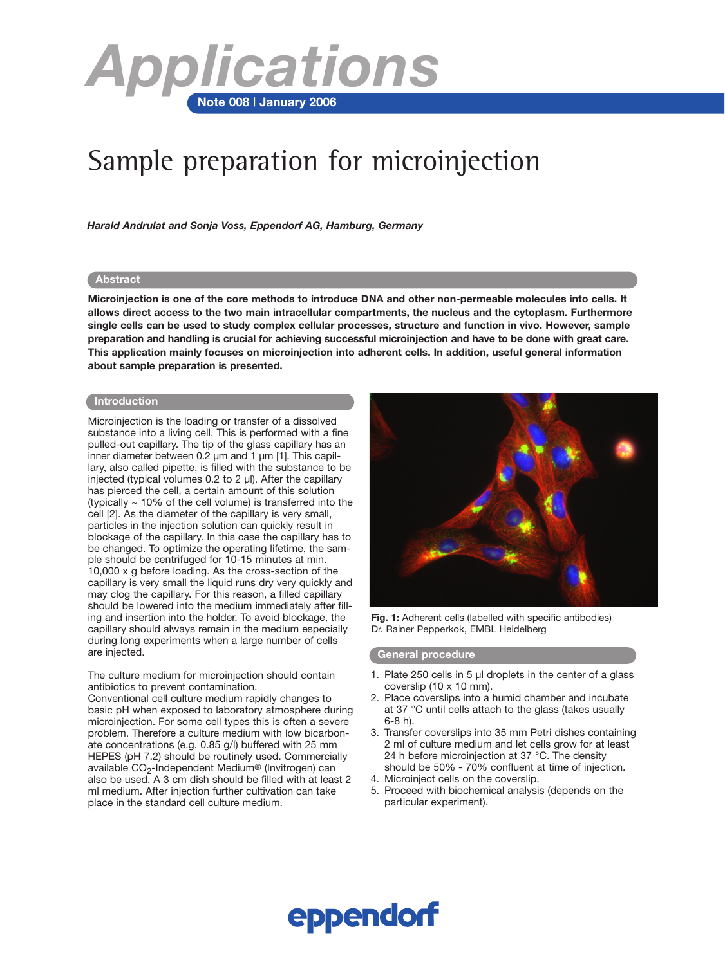

## Sample preparation for microinjection

*Harald Andrulat and Sonja Voss, Eppendorf AG, Hamburg, Germany*

#### **Abstract**

**Microinjection is one of the core methods to introduce DNA and other non-permeable molecules into cells. It allows direct access to the two main intracellular compartments, the nucleus and the cytoplasm. Furthermore single cells can be used to study complex cellular processes, structure and function in vivo. However, sample preparation and handling is crucial for achieving successful microinjection and have to be done with great care. This application mainly focuses on microinjection into adherent cells. In addition, useful general information about sample preparation is presented.**

#### **Introduction**

Microinjection is the loading or transfer of a dissolved substance into a living cell. This is performed with a fine pulled-out capillary. The tip of the glass capillary has an inner diameter between 0.2 µm and 1 µm [1]. This capillary, also called pipette, is filled with the substance to be injected (typical volumes 0.2 to 2 µl). After the capillary has pierced the cell, a certain amount of this solution (typically  $\sim$  10% of the cell volume) is transferred into the cell [2]. As the diameter of the capillary is very small, particles in the injection solution can quickly result in blockage of the capillary. In this case the capillary has to be changed. To optimize the operating lifetime, the sample should be centrifuged for 10-15 minutes at min. 10,000 x g before loading. As the cross-section of the capillary is very small the liquid runs dry very quickly and may clog the capillary. For this reason, a filled capillary should be lowered into the medium immediately after filling and insertion into the holder. To avoid blockage, the capillary should always remain in the medium especially during long experiments when a large number of cells are injected.

The culture medium for microinjection should contain antibiotics to prevent contamination.

Conventional cell culture medium rapidly changes to basic pH when exposed to laboratory atmosphere during microinjection. For some cell types this is often a severe problem. Therefore a culture medium with low bicarbonate concentrations (e.g. 0.85 g/l) buffered with 25 mm HEPES (pH 7.2) should be routinely used. Commercially available  $CO<sub>2</sub>$ -Independent Medium® (Invitrogen) can also be used. A 3 cm dish should be filled with at least 2 ml medium. After injection further cultivation can take place in the standard cell culture medium.



**Fig. 1:** Adherent cells (labelled with specific antibodies) Dr. Rainer Pepperkok, EMBL Heidelberg

## **General procedure**

- 1. Plate 250 cells in 5 µl droplets in the center of a glass coverslip (10 x 10 mm).
- 2. Place coverslips into a humid chamber and incubate at 37 °C until cells attach to the glass (takes usually 6-8 h).
- 3. Transfer coverslips into 35 mm Petri dishes containing 2 ml of culture medium and let cells grow for at least 24 h before microinjection at 37 °C. The density should be 50% - 70% confluent at time of injection.
- 4. Microinject cells on the coverslip.
- 5. Proceed with biochemical analysis (depends on the particular experiment).

# **eppendorf**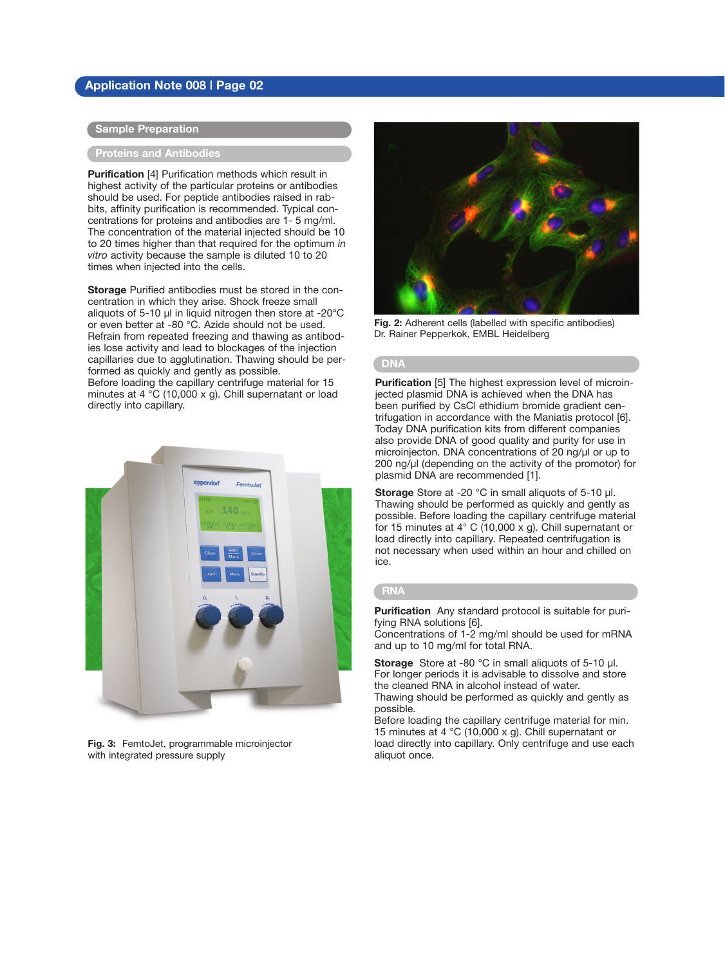## **Application Note 008 | Page 02**

## **Sample Preparation**

## **Proteins and Antibodies**

**Purification** [4] Purification methods which result in highest activity of the particular proteins or antibodies should be used. For peptide antibodies raised in rabbits, affinity purification is recommended. Typical concentrations for proteins and antibodies are 1- 5 mg/ml. The concentration of the material injected should be 10 to 20 times higher than that required for the optimum *in vitro* activity because the sample is diluted 10 to 20 times when injected into the cells.

**Storage** Purified antibodies must be stored in the concentration in which they arise. Shock freeze small aliquots of 5-10 µl in liquid nitrogen then store at -20°C or even better at -80 °C. Azide should not be used. Refrain from repeated freezing and thawing as antibodies lose activity and lead to blockages of the injection capillaries due to agglutination. Thawing should be performed as quickly and gently as possible. Before loading the capillary centrifuge material for 15 minutes at 4 °C (10,000 x g). Chill supernatant or load directly into capillary.



**Fig. 3:** FemtoJet, programmable microinjector with integrated pressure supply



**Fig. 2:** Adherent cells (labelled with specific antibodies) Dr. Rainer Pepperkok, EMBL Heidelberg

#### **DNA**

**Purification** [5] The highest expression level of microinjected plasmid DNA is achieved when the DNA has been purified by CsCl ethidium bromide gradient centrifugation in accordance with the Maniatis protocol [6]. Today DNA purification kits from different companies also provide DNA of good quality and purity for use in microinjecton. DNA concentrations of 20 ng/µl or up to 200 ng/µl (depending on the activity of the promotor) for plasmid DNA are recommended [1].

**Storage** Store at -20 °C in small aliquots of 5-10 µl. Thawing should be performed as quickly and gently as possible. Before loading the capillary centrifuge material for 15 minutes at 4° C (10,000 x g). Chill supernatant or load directly into capillary. Repeated centrifugation is not necessary when used within an hour and chilled on ice.

## **RNA**

**Purification** Any standard protocol is suitable for purifying RNA solutions [6].

Concentrations of 1-2 mg/ml should be used for mRNA and up to 10 mg/ml for total RNA.

**Storage** Store at -80 °C in small aliquots of 5-10 µl. For longer periods it is advisable to dissolve and store the cleaned RNA in alcohol instead of water. Thawing should be performed as quickly and gently as possible.

Before loading the capillary centrifuge material for min. 15 minutes at 4 °C (10,000 x g). Chill supernatant or load directly into capillary. Only centrifuge and use each aliquot once.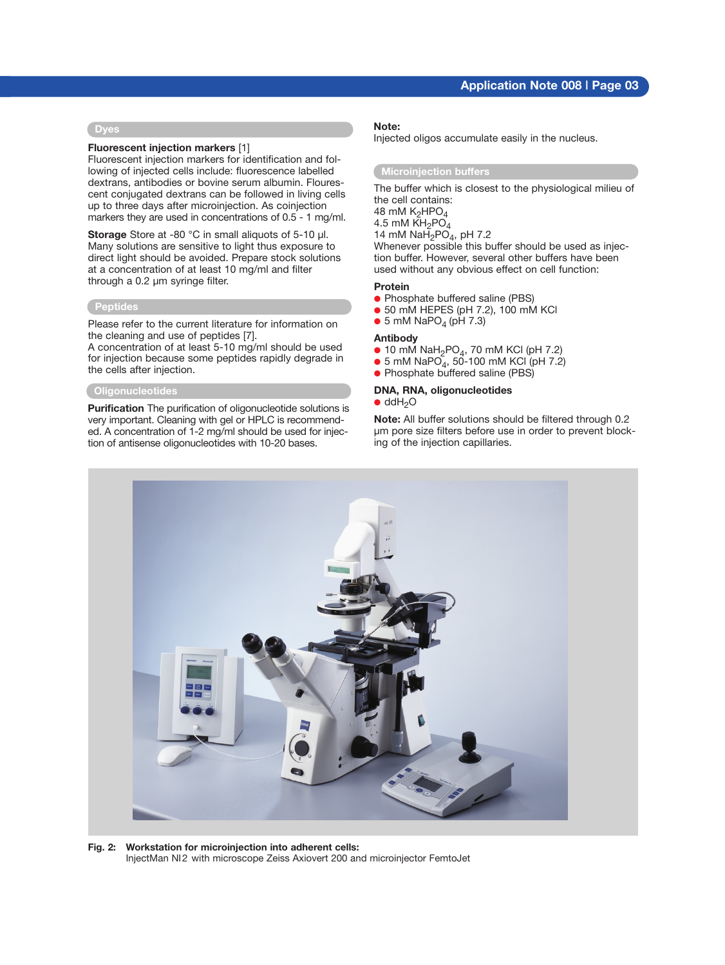## **Application Note 008 | Page 03**

#### **Dyes**

#### **Fluorescent injection markers** [1]

Fluorescent injection markers for identification and following of injected cells include: fluorescence labelled dextrans, antibodies or bovine serum albumin. Flourescent conjugated dextrans can be followed in living cells up to three days after microinjection. As coinjection markers they are used in concentrations of 0.5 - 1 mg/ml.

**Storage** Store at -80 °C in small aliquots of 5-10 ul. Many solutions are sensitive to light thus exposure to direct light should be avoided. Prepare stock solutions at a concentration of at least 10 mg/ml and filter through a 0.2 µm syringe filter.

## **Peptides**

Please refer to the current literature for information on the cleaning and use of peptides [7].

A concentration of at least 5-10 mg/ml should be used for injection because some peptides rapidly degrade in the cells after injection.

## **Oligonucleotides**

**Purification** The purification of oligonucleotide solutions is very important. Cleaning with gel or HPLC is recommended. A concentration of 1-2 mg/ml should be used for injection of antisense oligonucleotides with 10-20 bases.

#### **Note:**

Injected oligos accumulate easily in the nucleus.

#### **Microinjection buffers**

The buffer which is closest to the physiological milieu of the cell contains:

48 mM  $K_2$ HPO $_4$ 

4.5 mM  $KH_2PO_4$ 

14 mM NaH<sub>2</sub>PO<sub>4</sub>, pH 7.2

Whenever possible this buffer should be used as injection buffer. However, several other buffers have been used without any obvious effect on cell function:

#### **Protein**

- Phosphate buffered saline (PBS)
- $\bullet$  50 mM HEPES (pH 7.2), 100 mM KCl
- $\bullet$  5 mM NaPO<sub>4</sub> (pH 7.3)

#### **Antibody**

- $\bullet$  10 mM NaH<sub>2</sub>PO<sub>4</sub>, 70 mM KCl (pH 7.2)
- 5 mM NaPO<sub>4</sub>, 50-100 mM KCl (pH 7.2)
- Phosphate buffered saline (PBS)

#### **DNA, RNA, oligonucleotides**

 $\bullet$  ddH<sub>2</sub>O

**Note:** All buffer solutions should be filtered through 0.2 µm pore size filters before use in order to prevent blocking of the injection capillaries.



**Fig. 2: Workstation for microinjection into adherent cells:** InjectMan NI2 with microscope Zeiss Axiovert 200 and microinjector FemtoJet